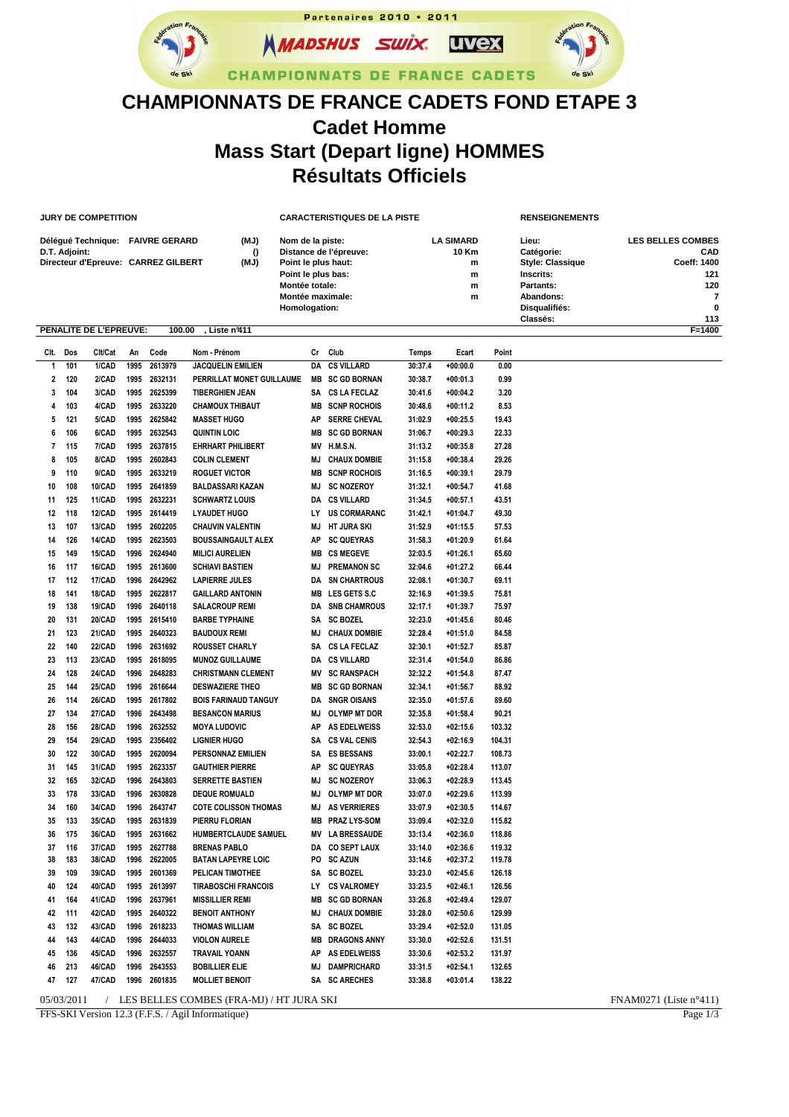Partenaires 2010 . 2011 **NMADSHUS SWIX. UVex** 



## **CHAMPIONNATS DE FRANCE CADETS**

## **CHAMPIONNATS DE FRANCE CADETS FOND ETAPE 3 Cadet Homme Mass Start (Depart ligne) HOMMES Résultats Officiels**

|                                                 |               | <b>JURY DE COMPETITION</b> |      |                                     |                             | <b>CARACTERISTIQUES DE LA PISTE</b>  |                        |         |                  |        | <b>RENSEIGNEMENTS</b>   |                          |
|-------------------------------------------------|---------------|----------------------------|------|-------------------------------------|-----------------------------|--------------------------------------|------------------------|---------|------------------|--------|-------------------------|--------------------------|
| Délégué Technique: FAIVRE GERARD                |               |                            |      |                                     | (MJ)                        | Nom de la piste:                     |                        |         | <b>LA SIMARD</b> |        | Lieu:                   | <b>LES BELLES COMBES</b> |
|                                                 | D.T. Adjoint: |                            |      |                                     | $\Omega$                    | Distance de l'épreuve:               |                        |         | <b>10 Km</b>     |        | Catégorie:              | CAD                      |
|                                                 |               |                            |      | Directeur d'Epreuve: CARREZ GILBERT | (MJ)                        | Point le plus haut:                  |                        |         | m                |        | <b>Style: Classique</b> | Coeff: 1400              |
|                                                 |               |                            |      |                                     |                             | Point le plus bas:<br>Montée totale: |                        | m       |                  |        | Inscrits:               | 121                      |
|                                                 |               |                            |      |                                     |                             |                                      | Montée maximale:       |         | m<br>m           |        | Partants:<br>Abandons:  | 120<br>7                 |
|                                                 |               |                            |      |                                     |                             | Homologation:                        |                        |         |                  |        | Disqualifiés:           | 0                        |
|                                                 |               |                            |      |                                     |                             |                                      |                        |         |                  |        | Classés:                | 113                      |
| 100.00<br>Liste nº411<br>PENALITE DE L'EPREUVE: |               |                            |      |                                     |                             |                                      |                        |         |                  |        |                         | F=1400                   |
| CIt.                                            | Dos           | Clt/Cat                    | An   | Code                                | Nom - Prénom                | Cr                                   | Club                   | Temps   | Ecart            | Point  |                         |                          |
| 1                                               | 101           | 1/CAD                      | 1995 | 2613979                             | <b>JACQUELIN EMILIEN</b>    | DA                                   | <b>CS VILLARD</b>      | 30:37.4 | $+00:00.0$       | 0.00   |                         |                          |
| 2                                               | 120           | 2/CAD                      | 1995 | 2632131                             | PERRILLAT MONET GUILLAUME   | MВ                                   | <b>SC GD BORNAN</b>    | 30:38.7 | $+00:01.3$       | 0.99   |                         |                          |
| 3                                               | 104           | 3/CAD                      | 1995 | 2625399                             | <b>TIBERGHIEN JEAN</b>      | SΑ                                   | <b>CS LA FECLAZ</b>    | 30:41.6 | $+00:04.2$       | 3.20   |                         |                          |
| 4                                               | 103           | 4/CAD                      | 1995 | 2633220                             | <b>CHAMOUX THIBAUT</b>      | MВ                                   | <b>SCNP ROCHOIS</b>    | 30:48.6 | $+00:11.2$       | 8.53   |                         |                          |
|                                                 |               |                            |      |                                     |                             |                                      |                        |         |                  |        |                         |                          |
| 5                                               | 121           | 5/CAD                      | 1995 | 2625842                             | <b>MASSET HUGO</b>          | AP                                   | <b>SERRE CHEVAL</b>    | 31:02.9 | $+00:25.5$       | 19.43  |                         |                          |
| 6                                               | 106           | 6/CAD                      | 1995 | 2632543                             | <b>QUINTIN LOIC</b>         | MВ                                   | <b>SC GD BORNAN</b>    | 31:06.7 | $+00:29.3$       | 22.33  |                         |                          |
| 7                                               | 115           | 7/CAD                      | 1995 | 2637815                             | <b>EHRHART PHILIBERT</b>    | MV                                   | <b>H.M.S.N.</b>        | 31:13.2 | $+00:35.8$       | 27.28  |                         |                          |
| 8                                               | 105           | 8/CAD                      | 1995 | 2602843                             | <b>COLIN CLEMENT</b>        | <b>MJ</b>                            | <b>CHAUX DOMBIE</b>    | 31:15.8 | $+00:38.4$       | 29.26  |                         |                          |
| 9                                               | 110           | 9/CAD                      | 1995 | 2633219                             | <b>ROGUET VICTOR</b>        | MВ                                   | <b>SCNP ROCHOIS</b>    | 31:16.5 | $+00:39.1$       | 29.79  |                         |                          |
| 10                                              | 108           | 10/CAD                     | 1995 | 2641859                             | <b>BALDASSARI KAZAN</b>     | MJ                                   | <b>SC NOZEROY</b>      | 31:32.1 | $+00:54.7$       | 41.68  |                         |                          |
| 11                                              | 125           | 11/CAD                     | 1995 | 2632231                             | <b>SCHWARTZ LOUIS</b>       | DA                                   | <b>CS VILLARD</b>      | 31:34.5 | $+00:57.1$       | 43.51  |                         |                          |
| 12                                              | 118           | <b>12/CAD</b>              | 1995 | 2614419                             | <b>LYAUDET HUGO</b>         | LY                                   | <b>US CORMARANC</b>    | 31:42.1 | $+01:04.7$       | 49.30  |                         |                          |
| 13                                              | 107           | <b>13/CAD</b>              | 1995 | 2602205                             | <b>CHAUVIN VALENTIN</b>     | <b>MJ</b>                            | <b>HT JURA SKI</b>     | 31:52.9 | $+01:15.5$       | 57.53  |                         |                          |
| 14                                              | 126           | 14/CAD                     | 1995 | 2623503                             | <b>BOUSSAINGAULT ALEX</b>   | AP                                   | <b>SC QUEYRAS</b>      | 31:58.3 | $+01:20.9$       | 61.64  |                         |                          |
| 15                                              | 149           | <b>15/CAD</b>              | 1996 | 2624940                             | <b>MILICI AURELIEN</b>      | MВ                                   | <b>CS MEGEVE</b>       | 32:03.5 | $+01:26.1$       | 65.60  |                         |                          |
| 16                                              | 117           | 16/CAD                     | 1995 | 2613600                             | <b>SCHIAVI BASTIEN</b>      | <b>MJ</b>                            | <b>PREMANON SC</b>     | 32:04.6 | $+01:27.2$       | 66.44  |                         |                          |
| 17                                              | 112           | <b>17/CAD</b>              | 1996 | 2642962                             | <b>LAPIERRE JULES</b>       | DA                                   | <b>SN CHARTROUS</b>    | 32:08.1 | $+01:30.7$       | 69.11  |                         |                          |
| 18                                              | 141           | <b>18/CAD</b>              | 1995 | 2622817                             | <b>GAILLARD ANTONIN</b>     | <b>MB</b>                            | LES GETS S.C           | 32:16.9 | $+01:39.5$       | 75.81  |                         |                          |
| 19                                              | 138           | <b>19/CAD</b>              | 1996 | 2640118                             | <b>SALACROUP REMI</b>       | DA                                   | <b>SNB CHAMROUS</b>    | 32:17.1 | $+01:39.7$       | 75.97  |                         |                          |
| 20                                              | 131           | 20/CAD                     | 1995 | 2615410                             | <b>BARBE TYPHAINE</b>       | SΑ                                   | <b>SC BOZEL</b>        | 32:23.0 | $+01:45.6$       | 80.46  |                         |                          |
| 21                                              | 123           | 21/CAD                     | 1995 | 2640323                             | <b>BAUDOUX REMI</b>         | <b>MJ</b>                            | <b>CHAUX DOMBIE</b>    | 32:28.4 | $+01:51.0$       | 84.58  |                         |                          |
| 22                                              | 140           | <b>22/CAD</b>              | 1996 | 2631692                             | <b>ROUSSET CHARLY</b>       | SΑ                                   | <b>CS LA FECLAZ</b>    | 32:30.1 | $+01:52.7$       | 85.87  |                         |                          |
| 23                                              | 113           | 23/CAD                     | 1995 | 2618095                             | <b>MUNOZ GUILLAUME</b>      | DA                                   | <b>CS VILLARD</b>      | 32:31.4 | $+01:54.0$       | 86.86  |                         |                          |
| 24                                              | 128           | <b>24/CAD</b>              | 1996 | 2648283                             | <b>CHRISTMANN CLEMENT</b>   | ΜV                                   | <b>SC RANSPACH</b>     | 32:32.2 | $+01:54.8$       | 87.47  |                         |                          |
| 25                                              | 144           | <b>25/CAD</b>              | 1996 | 2616644                             | <b>DESWAZIERE THEO</b>      | <b>MB</b>                            | <b>SC GD BORNAN</b>    | 32:34.1 | $+01:56.7$       | 88.92  |                         |                          |
| 26                                              | 114           | <b>26/CAD</b>              | 1995 | 2617802                             | <b>BOIS FARINAUD TANGUY</b> | DA                                   | <b>SNGR OISANS</b>     | 32:35.0 | $+01:57.6$       | 89.60  |                         |                          |
| 27                                              | 134           | 27/CAD                     | 1996 | 2643498                             | <b>BESANCON MARIUS</b>      | ΜJ                                   | <b>OLYMP MT DOR</b>    | 32:35.8 | $+01:58.4$       | 90.21  |                         |                          |
| 28                                              | 156           | <b>28/CAD</b>              | 1996 | 2632552                             | <b>MOYA LUDOVIC</b>         | AP                                   | <b>AS EDELWEISS</b>    | 32:53.0 | $+02:15.6$       | 103.32 |                         |                          |
| 29                                              | 154           | 29/CAD                     | 1995 | 2356402                             | <b>LIGNIER HUGO</b>         | SΑ                                   | <b>CS VAL CENIS</b>    | 32:54.3 | $+02:16.9$       | 104.31 |                         |                          |
| 30                                              | 122           | 30/CAD                     | 1995 | 2620094                             | <b>PERSONNAZ EMILIEN</b>    | SΑ                                   | <b>ES BESSANS</b>      | 33:00.1 | $+02:22.7$       | 108.73 |                         |                          |
| 31                                              | 145           | 31/CAD                     | 1995 | 2623357                             |                             | ΑP                                   |                        |         | $+02:28.4$       |        |                         |                          |
|                                                 |               |                            |      |                                     | <b>GAUTHIER PIERRE</b>      |                                      | <b>SC QUEYRAS</b>      | 33:05.8 |                  | 113.07 |                         |                          |
| 32                                              | 165           | 32/CAD                     | 1996 | 2643803                             | <b>SERRETTE BASTIEN</b>     | MJ                                   | <b>SC NOZEROY</b>      | 33:06.3 | $+02:28.9$       | 113.45 |                         |                          |
| 33                                              | 178           | 33/CAD                     | 1996 | 2630828                             | <b>DEQUE ROMUALD</b>        |                                      | MJ OLYMP MT DOR        | 33:07.0 | +02:29.6         | 113.99 |                         |                          |
| 34                                              | 160           | 34/CAD                     | 1996 | 2643747                             | <b>COTE COLISSON THOMAS</b> |                                      | <b>MJ AS VERRIERES</b> | 33:07.9 | +02:30.5         | 114.67 |                         |                          |
| 35                                              | 133           | 35/CAD                     | 1995 | 2631839                             | PIERRU FLORIAN              |                                      | <b>MB PRAZLYS-SOM</b>  | 33:09.4 | $+02:32.0$       | 115.82 |                         |                          |
| 36                                              | 175           | 36/CAD                     | 1995 | 2631662                             | HUMBERTCLAUDE SAMUEL        |                                      | <b>MV LA BRESSAUDE</b> | 33:13.4 | $+02:36.0$       | 118.86 |                         |                          |
| 37                                              | 116           | 37/CAD                     | 1995 | 2627788                             | <b>BRENAS PABLO</b>         |                                      | DA CO SEPT LAUX        | 33:14.0 | $+02:36.6$       | 119.32 |                         |                          |
| 38                                              | 183           | 38/CAD                     | 1996 | 2622005                             | <b>BATAN LAPEYRE LOIC</b>   |                                      | PO SCAZUN              | 33:14.6 | $+02:37.2$       | 119.78 |                         |                          |
| 39                                              | 109           | 39/CAD                     |      | 1995 2601369                        | PELICAN TIMOTHEE            |                                      | SA SC BOZEL            | 33:23.0 | $+02:45.6$       | 126.18 |                         |                          |
| 40                                              | 124           | 40/CAD                     | 1995 | 2613997                             | <b>TIRABOSCHI FRANCOIS</b>  |                                      | LY CS VALROMEY         | 33:23.5 | +02:46.1         | 126.56 |                         |                          |
| 41                                              | 164           | 41/CAD                     | 1996 | 2637961                             | <b>MISSILLIER REMI</b>      |                                      | <b>MB SC GD BORNAN</b> | 33:26.8 | $+02:49.4$       | 129.07 |                         |                          |
| 42                                              | 111           | 42/CAD                     | 1995 | 2640322                             | <b>BENOIT ANTHONY</b>       |                                      | <b>MJ CHAUX DOMBIE</b> | 33:28.0 | $+02:50.6$       | 129.99 |                         |                          |
| 43                                              | 132           | 43/CAD                     | 1996 | 2618233                             | <b>THOMAS WILLIAM</b>       |                                      | SA SC BOZEL            | 33:29.4 | $+02:52.0$       | 131.05 |                         |                          |
|                                                 | 44 143        | 44/CAD                     |      | 1996 2644033                        | <b>VIOLON AURELE</b>        |                                      | <b>MB DRAGONS ANNY</b> | 33:30.0 | +02:52.6         | 131.51 |                         |                          |

05/03/2011 / LES BELLES COMBES (FRA-MJ) / HT JURA SKI FNAM0271 (Liste n°411)

**45 136 45/CAD 1996 2632557 TRAVAIL YOANN AP AS EDELWEISS 33:30.6 +02:53.2 131.97 46 213 46/CAD 1996 2643553 BOBILLIER ELIE MJ DAMPRICHARD 33:31.5 +02:54.1 132.65 47 127 47/CAD 1996 2601835 MOLLIET BENOIT SA SC ARECHES 33:38.8 +03:01.4 138.22**

FFS-SKI Version 12.3 (F.F.S. / Agil Informatique) Page 1/3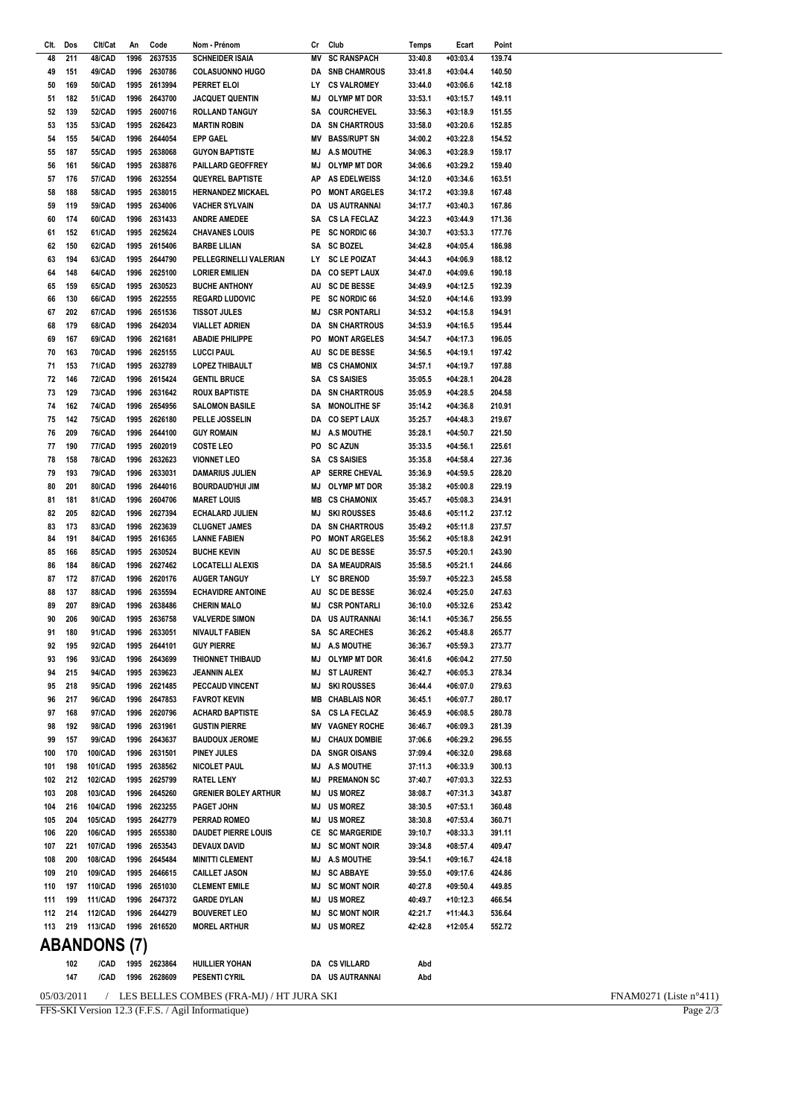FFS-SKI Version 12.3 (F.F.S. / Agil Informatique)

Clt. Dos

 $\overline{48}$  $\overline{211}$ 

 $\overline{A}$ 151

50 169

 $51$ 182

 $52$ 139

53 135

54

55

56

57 176

58 188

59

60 174

61

 $62$ 150

63 194

64 148

65 159

66

 $67$ 202

68 179

69 167

70 163

 $71$ 153

 $72$ 146

73 129

 $74$ 162

 $75$  $142$ 

 $76$  $200$ 

 $77$ 190

78 158

79

81

82 205

83 173

84 191

85

86 184

 $\overline{87}$ 172

88

89 207

90

91

92 195

 $93$ 196

 $QA$ 215

95 218

96 217

97 168

98 192

99 157

100

101 198

102

 $105$  $204$ 

106 220

107

108 200

109 210

110 197

111

 $112$  $214$ 

170

103 208

104 216

221

199

113 219 113/CAD

193 80  $201$ 

181

166

137

206

180

155

187

161

119

152

130

Clt/Cat

 $AB/ChD$ 

**AQICAD** 

50/CAD

51/CAD

52/CAD

53/CAD

54/CAD

55/CAD

56/CAD

57/CAD

58/CAD

59/CAD

**GO/CAD** 

61/CAD

62/CAD

63/CAD

64/CAD

65/CAD

66/CAD

67/CAD

68/CAD

69/CAD

**70/CAD** 

**71/CAD** 

**72/CAD** 

73/CAD

**74/CAD** 

75/CAD

**76/CAD** 

**77/CAD** 

**78/CAD** 

**79/CAD** 

80/CAD

81/CAD

82/CAD

83/CAD

84/CAD

85/CAD

86/CAD

87/CAD

88/CAD

89/CAD

90/CAD

91/CAD

92/CAD

93/CAD

**QAICAD** 

95/CAD

96/CAD

97/CAD

98/CAD

**QQ/CAD** 

100/CAD

101/CAD

103/CAD

104/CAD

105/CAD

106/CAD

107/CAD

108/CAD

109/CAD

110/CAD

**111/CAD** 

 $112/CAD$ 

212 102/CAD

An Code Nom - Prénom

**ABANDONS (7)**  $102$ /CAD 1995 2623864 **HUILLIER YOHAN** DA CS VILLARD 147 /CAD 1996 2628609 **PESENTI CYRIL** DA US AUTRANNAI / LES BELLES COMBES (FRA-MJ) / HT JURA SKI  $05/03/2011$ 

1996 2637535 **SCHNEIDER ISAIA** MV SC RANSPACH  $33:40.8$  $+03:03.4$  $12071$ 1996 2630786 **COLASUONNO HUGO DA SNR CHAMPOUS** 33:41.8  $+03.04A$ 140.50 LY CS VALROMEY 1995 2613994 PERRET ELOI 33:44.0  $+03:06.6$ 142.18 1996 2643700 **JACQUET QUENTIN** M.J OI YMP MT DOR  $33:53.1$  $+03:15.7$ 149.11 1995 2600716 **ROLLAND TANGUY** SA COURCHEVEL 33:56.3  $+03:18.9$ 151.55 1995 2626423 **MARTIN ROBIN DA SN CHARTROUS** 33:58.0  $+03:20.6$ 15285 **MV BASS/RUPT SN** 1996 2644054 **EPP GAEL** 34:00.2  $+03:22.8$ 154.52 1995 2638068 **GUYON BAPTISTE** MJ A.S MOUTHE 34:06.3  $+03:28.9$ 159.17 1995 2638876 PAILLARD GEOFFREY MJ OI YMP MT DOR  $34:06.6$  $+03:29.2$ 159.40 1996 2632554 **QUEYREL BAPTISTE AP AS EDELWEISS** 34:12.0  $+03:34.6$ 163.51 1995 2638015 **HERNANDEZ MICKAEL** PO MONT ARGELES  $34.172$  $+03.398$ 167.48 1995 2634006  $+03:40.3$ **VACHER SYLVAIN DA US AUTRANNAI** 34:17.7 16786 1996 2631433 **ANDRE AMEDEE** SA CSIAFFCIAZ  $34:22.3$  $+03:44.9$ 171.36 PF SC NORDIC 66  $34:30.7$ 1995 2625624 **CHAVANES LOUIS**  $+03:53.3$ 177.76 1995 2615406 **BARBE LILIAN SA SC BOZEL** 34:42.8  $+04:05.4$ 186.98 1995 2644790 PELLEGRINELLI VALERIAN LY SC LE POIZAT 34:44.3  $+04:06.9$ 188 12 1996 2625100 **LORIER EMILIEN** DA CO SEPT LAUX 34:47.0  $+04:09.6$ 190.18 1995 2630523 **BUCHE ANTHONY** AU SC DE BESSE 34:49.9  $+04:12.5$ 19239 PE SC NORDIC 66 1995 2622555 **REGARD LUDOVIC**  $34:52.0$  $+04:14.6$ 193.99 1996 2651536 **TISSOT JULES MJ CSR PONTARLI**  $34:53.2$  $+04:15.8$ 194.91 1996 2642034 **VIALLET ADRIEN DA SN CHARTROUS**  $34.539$  $+04.165$ 195.44 1996 2621681 **ABADIE PHILIPPE** PO MONT ARGELES 34:54.7  $+04:17.3$ 196.05 1996 2625155 **LUCCI PAUL** AU SC DE BESSE 34:56.5  $+04:19.1$ 197.42 1995 2632789 **LOPEZ THIBAULT MB CS CHAMONIX** 34:57.1  $+04:19.7$ 197.88 1996 2615424 **GENTIL BRUCE** SA **CS SAISIES** 35:05.5  $+04:28.1$ 204.28 1996 2631642 **ROUX BAPTISTE** DA SN CHARTROUS  $35:059$  $+04.285$ 204.58 1996 2654956 **SALOMON BASILE** SA MONOLITHE SF  $35:14.2$  $+04:36.8$ 210.91 1995 2626180 PELLE JOSSELIN DA CO SEPTIAUX  $35.25.7$  $+04.483$ 219.67 1996 2644100 GUY ROMAIN MJ A.S MOUTHE  $35.281$  $+04.507$ 221.50 1995 2602019 **COSTE LEO** PO SC AZUN 35:33.5  $+04:56.1$ 225.61 1996 2632623 **VIONNET LEO** SA CS SAISIES  $+04:58.4$ 35:35.8 227.36 1996 2633031 **DAMARIUS JULIEN** AP SERRE CHEVAL 35:36.9  $+04:59.5$ 228.20 1996 2644016 **BOURDAUD'HUI JIM** MJ OLYMP MT DOR  $35:38.2$  $+05:00.8$ 229 19 **MARET LOUIS MB CS CHAMONIX** 35:45.7  $+05:08.3$ 1996 2604706 234.91 ECHALARD JULIEN **MJ SKI ROUSSES** 35:48.6 1996 2627394  $+05:11.2$ 237.12 1996 2623639 **CLUGNET JAMES DA SN CHARTROUS** 35:49.2  $+05:11.8$ 237.57 1995 2616365 **LANNE FABIEN** PO MONT ARGELES 35:56.2  $+05:18.8$ 24291 1995 2630524 AU SC DE BESSE **BUCHE KEVIN** 35:57.5  $+05:20.1$ 243.90 1996 2627462 **LOCATELLI ALEXIS DA SA MEAUDRAIS** 35:58.5  $+05:21.1$ 244.66 IY SCRRENOD 1996 2620176 ALIGER TANGUY  $35.507$  $+05.22.3$ 245.58 AU SC DE BESSE **ECHAVIDRE ANTOINE**  $+05:25.0$ 1996 2635594  $36:02.4$ 247.63 1996 2638486 **CHERIN MALO MJ CSR PONTARLI** 36:10.0  $+05:326$ 25342 **VALVERDE SIMON** DA US AUTRANNAI 36:14.1  $+05:36.7$ 1995 2636758 256.55 NIVAULT FABIEN SA SC ARECHES 1996 2633051 36:26.2  $+05:48.8$ 265.77 1995 2644101 **GUY PIFRRE** M.I A.S. MOUTHE 36:36.7  $+05:59.3$ 273.77 1996 2643699 THIONNET THIBAUD MJ OLYMP MT DOR 36:41.6  $+06:04.2$ 277.50 1005 2630623 JFANNIN AI FX MI STIAURENT  $36:427$  $+06.053$ 278 34 1996 2621485 PECCAUD VINCENT **MJ SKI ROUSSES** 36:44.4  $+06:07.0$ 279.63 1996 2647853 **FAVROT KFVIN** MB CHABI AIS NOR 36:45.1  $+06:07.7$ 280 17 1996 2620796 **ACHARD BAPTISTE** SA CSIAFFCIAZ  $36:45.9$  $+06:08.5$ 280.78 1996 2631961 **GUSTIN PIERRE** MV VAGNEY ROCHE 36:46.7  $+06:09.3$ 281.39 1996 2643637 **BAUDOUX JEROME** M.J CHAUX DOMBIF  $37:06.6$  $+06:29.2$ 296.55 1996 2631501 PINEY JULES **DA SNGR OISANS**  $+06:32.0$ 37:09.4 298.68 1995 2638562 **NICOLET PAUL** MJ A.S MOUTHE  $37:11.3$  $+06:33.9$ 300.13 **MJ PREMANON SC** 37:40.7 1995 2625799 **RATEL LENY**  $+07:03.3$ 322.53 **GRENIER BOLEY ARTHUR** M.J US MORFZ 1996 2645260 38:08.7  $+07:31.3$ 343.87 1996 2623255 PAGFT JOHN M.I US MORFZ 38:30.5  $+07:53.1$ 360.48 1995 2642779 PERRAD ROMEO  $MJ$ **US MORFZ**  $38:30.8$  $+07:53.4$ 360.71 1995 2655380 **DAUDET PIERRE LOUIS** CE SC MARGERIDE 39:10.7  $+08:33.3$ 391.11 MJ SC MONT NOIR 1996 2653543 **DEVAUX DAVID**  $+08:57.4$ 39:34.8 409.47 1996 2645484 **MINITTI CLEMENT** MJ A.S MOUTHE 39:54.1  $+09:16.7$ 424.18 1995 2646615 CAILLET JASON M.I SC ARRAYE 39:55.0  $+09:17.6$ 424.86 **CLEMENT EMILE**  $M<sub>1</sub>$ **SC MONT NOIR** 1996 2651030 40:27.8  $+09:50.4$ 449.85 1996 2647372 **GARDE DYLAN** M.I IIS MOREZ 40:49.7  $+10:12.3$ 466.54 1996 2644279 **BOUVERET LEO** M.J SC MONT NOIR  $42:21.7$  $+11:44.3$ 536.64 1996 2616520 **MOREL ARTHUR** M.I IIS MOREZ 42:42.8  $+12:05.4$ 552.72 Abd Abd

Cr Club

Temps

Ecart

Point

FNAM0271 (Liste n°411)

Page  $2/3$